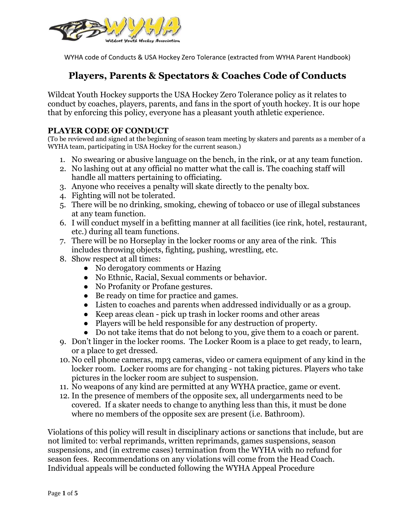

# **Players, Parents & Spectators & Coaches Code of Conducts**

Wildcat Youth Hockey supports the USA Hockey Zero Tolerance policy as it relates to conduct by coaches, players, parents, and fans in the sport of youth hockey. It is our hope that by enforcing this policy, everyone has a pleasant youth athletic experience.

#### **PLAYER CODE OF CONDUCT**

(To be reviewed and signed at the beginning of season team meeting by skaters and parents as a member of a WYHA team, participating in USA Hockey for the current season.)

- 1. No swearing or abusive language on the bench, in the rink, or at any team function.
- 2. No lashing out at any official no matter what the call is. The coaching staff will handle all matters pertaining to officiating.
- 3. Anyone who receives a penalty will skate directly to the penalty box.
- 4. Fighting will not be tolerated.
- 5. There will be no drinking, smoking, chewing of tobacco or use of illegal substances at any team function.
- 6. I will conduct myself in a befitting manner at all facilities (ice rink, hotel, restaurant, etc.) during all team functions.
- 7. There will be no Horseplay in the locker rooms or any area of the rink. This includes throwing objects, fighting, pushing, wrestling, etc.
- 8. Show respect at all times:
	- No derogatory comments or Hazing
	- No Ethnic, Racial, Sexual comments or behavior.
	- No Profanity or Profane gestures.
	- Be ready on time for practice and games.
	- Listen to coaches and parents when addressed individually or as a group.
	- Keep areas clean pick up trash in locker rooms and other areas
	- Players will be held responsible for any destruction of property.
	- Do not take items that do not belong to you, give them to a coach or parent.
- 9. Don't linger in the locker rooms. The Locker Room is a place to get ready, to learn, or a place to get dressed.
- 10. No cell phone cameras, mp3 cameras, video or camera equipment of any kind in the locker room. Locker rooms are for changing - not taking pictures. Players who take pictures in the locker room are subject to suspension.
- 11. No weapons of any kind are permitted at any WYHA practice, game or event.
- 12. In the presence of members of the opposite sex, all undergarments need to be covered. If a skater needs to change to anything less than this, it must be done where no members of the opposite sex are present (i.e. Bathroom).

Violations of this policy will result in disciplinary actions or sanctions that include, but are not limited to: verbal reprimands, written reprimands, games suspensions, season suspensions, and (in extreme cases) termination from the WYHA with no refund for season fees. Recommendations on any violations will come from the Head Coach. Individual appeals will be conducted following the WYHA Appeal Procedure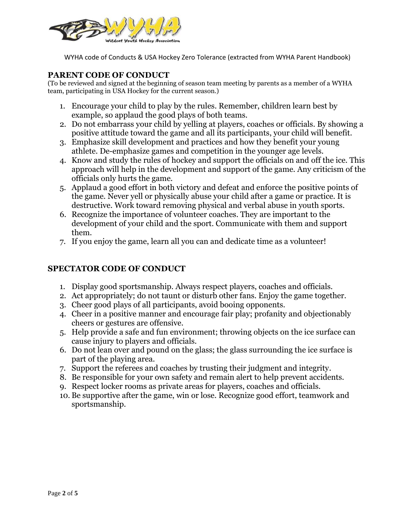

#### **PARENT CODE OF CONDUCT**

(To be reviewed and signed at the beginning of season team meeting by parents as a member of a WYHA team, participating in USA Hockey for the current season.)

- 1. Encourage your child to play by the rules. Remember, children learn best by example, so applaud the good plays of both teams.
- 2. Do not embarrass your child by yelling at players, coaches or officials. By showing a positive attitude toward the game and all its participants, your child will benefit.
- 3. Emphasize skill development and practices and how they benefit your young athlete. De-emphasize games and competition in the younger age levels.
- 4. Know and study the rules of hockey and support the officials on and off the ice. This approach will help in the development and support of the game. Any criticism of the officials only hurts the game.
- 5. Applaud a good effort in both victory and defeat and enforce the positive points of the game. Never yell or physically abuse your child after a game or practice. It is destructive. Work toward removing physical and verbal abuse in youth sports.
- 6. Recognize the importance of volunteer coaches. They are important to the development of your child and the sport. Communicate with them and support them.
- 7. If you enjoy the game, learn all you can and dedicate time as a volunteer!

### **SPECTATOR CODE OF CONDUCT**

- 1. Display good sportsmanship. Always respect players, coaches and officials.
- 2. Act appropriately; do not taunt or disturb other fans. Enjoy the game together.
- 3. Cheer good plays of all participants, avoid booing opponents.
- 4. Cheer in a positive manner and encourage fair play; profanity and objectionably cheers or gestures are offensive.
- 5. Help provide a safe and fun environment; throwing objects on the ice surface can cause injury to players and officials.
- 6. Do not lean over and pound on the glass; the glass surrounding the ice surface is part of the playing area.
- 7. Support the referees and coaches by trusting their judgment and integrity.
- 8. Be responsible for your own safety and remain alert to help prevent accidents.
- 9. Respect locker rooms as private areas for players, coaches and officials.
- 10. Be supportive after the game, win or lose. Recognize good effort, teamwork and sportsmanship.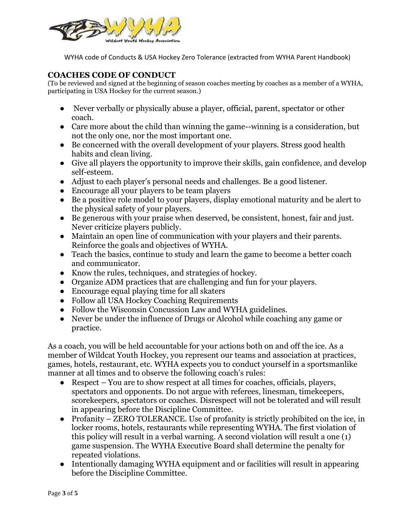

#### **COACHES CODE OF CONDUCT**

(To be reviewed and signed at the beginning of season coaches meeting by coaches as a member of a WYHA, participating in USA Hockey for the current season.)

- Never verbally or physically abuse a player, official, parent, spectator or other coach.
- Care more about the child than winning the game--winning is a consideration, but not the only one, nor the most important one.
- Be concerned with the overall development of your players. Stress good health habits and clean living.
- Give all players the opportunity to improve their skills, gain confidence, and develop self-esteem.
- Adjust to each player's personal needs and challenges. Be a good listener.
- Encourage all your players to be team players
- Be a positive role model to your players, display emotional maturity and be alert to the physical safety of your players.
- Be generous with your praise when deserved, be consistent, honest, fair and just. Never criticize players publicly.
- Maintain an open line of communication with your players and their parents. Reinforce the goals and objectives of WYHA.
- Teach the basics, continue to study and learn the game to become a better coach and communicator.
- Know the rules, techniques, and strategies of hockey.
- Organize ADM practices that are challenging and fun for your players.
- Encourage equal playing time for all skaters
- Follow all USA Hockey Coaching Requirements
- Follow the Wisconsin Concussion Law and WYHA guidelines.
- Never be under the influence of Drugs or Alcohol while coaching any game or practice.

As a coach, you will be held accountable for your actions both on and off the ice. As a member of Wildcat Youth Hockey, you represent our teams and association at practices, games, hotels, restaurant, etc. WYHA expects you to conduct yourself in a sportsmanlike manner at all times and to observe the following coach's rules:

- Respect You are to show respect at all times for coaches, officials, players, spectators and opponents. Do not argue with referees, linesman, timekeepers, scorekeepers, spectators or coaches. Disrespect will not be tolerated and will result in appearing before the Discipline Committee.
- Profanity ZERO TOLERANCE. Use of profanity is strictly prohibited on the ice, in locker rooms, hotels, restaurants while representing WYHA. The first violation of this policy will result in a verbal warning. A second violation will result a one (1) game suspension. The WYHA Executive Board shall determine the penalty for repeated violations.
- Intentionally damaging WYHA equipment and or facilities will result in appearing before the Discipline Committee.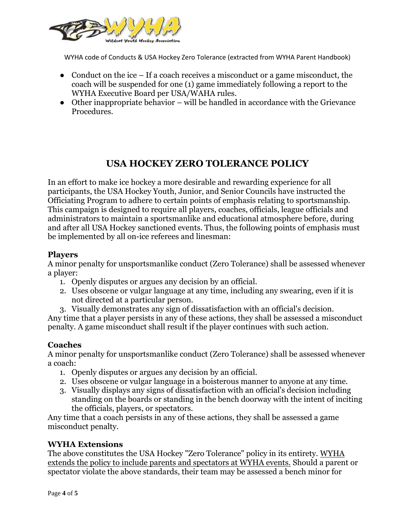

- Conduct on the ice  $-$  If a coach receives a misconduct or a game misconduct, the coach will be suspended for one (1) game immediately following a report to the WYHA Executive Board per USA/WAHA rules.
- Other inappropriate behavior will be handled in accordance with the Grievance Procedures.

## **USA HOCKEY ZERO TOLERANCE POLICY**

In an effort to make ice hockey a more desirable and rewarding experience for all participants, the USA Hockey Youth, Junior, and Senior Councils have instructed the Officiating Program to adhere to certain points of emphasis relating to sportsmanship. This campaign is designed to require all players, coaches, officials, league officials and administrators to maintain a sportsmanlike and educational atmosphere before, during and after all USA Hockey sanctioned events. Thus, the following points of emphasis must be implemented by all on-ice referees and linesman:

#### **Players**

A minor penalty for unsportsmanlike conduct (Zero Tolerance) shall be assessed whenever a player:

- 1. Openly disputes or argues any decision by an official.
- 2. Uses obscene or vulgar language at any time, including any swearing, even if it is not directed at a particular person.
- 3. Visually demonstrates any sign of dissatisfaction with an official's decision.

Any time that a player persists in any of these actions, they shall be assessed a misconduct penalty. A game misconduct shall result if the player continues with such action.

### **Coaches**

A minor penalty for unsportsmanlike conduct (Zero Tolerance) shall be assessed whenever a coach:

- 1. Openly disputes or argues any decision by an official.
- 2. Uses obscene or vulgar language in a boisterous manner to anyone at any time.
- 3. Visually displays any signs of dissatisfaction with an official's decision including standing on the boards or standing in the bench doorway with the intent of inciting the officials, players, or spectators.

Any time that a coach persists in any of these actions, they shall be assessed a game misconduct penalty.

### **WYHA Extensions**

The above constitutes the USA Hockey "Zero Tolerance" policy in its entirety. WYHA extends the policy to include parents and spectators at WYHA events. Should a parent or spectator violate the above standards, their team may be assessed a bench minor for